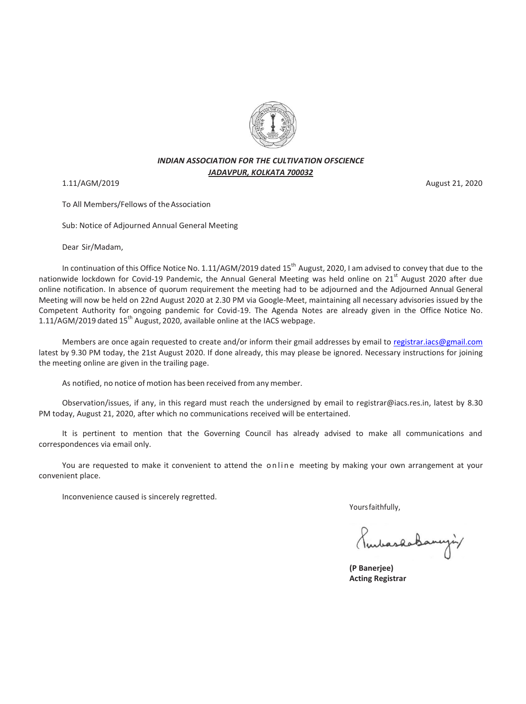

## *INDIAN ASSOCIATION FOR THE CULTIVATION OFSCIENCE JADAVPUR, KOLKATA 700032*

To All Members/Fellows of theAssociation

Sub: Notice of Adjourned Annual General Meeting

Dear Sir/Madam,

In continuation of this Office Notice No. 1.11/AGM/2019 dated 15<sup>th</sup> August, 2020, I am advised to convey that due to the nationwide lockdown for Covid-19 Pandemic, the Annual General Meeting was held online on 21<sup>st</sup> August 2020 after due online notification. In absence of quorum requirement the meeting had to be adjourned and the Adjourned Annual General Meeting will now be held on 22nd August 2020 at 2.30 PM via Google-Meet, maintaining all necessary advisories issued by the Competent Authority for ongoing pandemic for Covid-19. The Agenda Notes are already given in the Office Notice No. 1.11/AGM/2019 dated  $15<sup>th</sup>$  August, 2020, available online at the IACS webpage.

Members are once again requested to create and/or inform their gmail addresses by email to [registrar.iacs@gmail.com](mailto:registrar.iacs@gmail.com) latest by 9.30 PM today, the 21st August 2020. If done already, this may please be ignored. Necessary instructions for joining the meeting online are given in the trailing page.

As notified, no notice of motion has been received from any member.

Observation/issues, if any, in this regard must reach the undersigned by email to registrar@iacs.res.in, latest by 8.30 PM today, August 21, 2020, after which no communications received will be entertained.

It is pertinent to mention that the Governing Council has already advised to make all communications and correspondences via email only.

You are requested to make it convenient to attend the online meeting by making your own arrangement at your convenient place.

Inconvenience caused is sincerely regretted.

Yoursfaithfully,

PendaskaBangin

 **(P Banerjee) Acting Registrar** 

1.11/AGM/2019 August 21, 2020